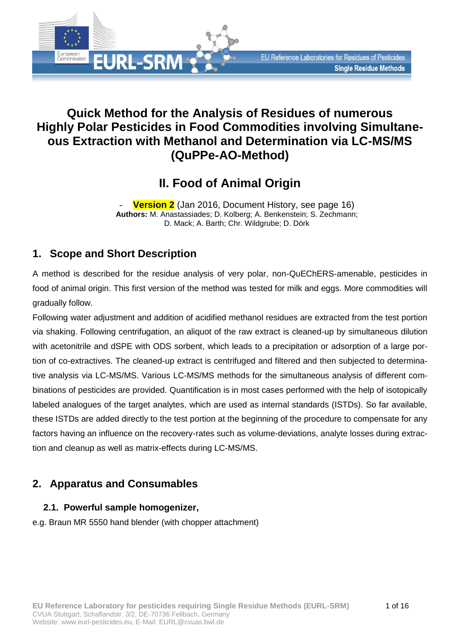# **Quick Method for the Analysis of Residues of numerous Highly Polar Pesticides in Food Commodities involving Simultaneous Extraction with Methanol and Determination via LC-MS/MS (QuPPe-AO-Method)**

# **II. Food of Animal Origin**

**Version 2** (Jan 2016, [Document History,](#page-15-0) see page [16\)](#page-15-1) **Authors:** M. Anastassiades; D. Kolberg; A. Benkenstein; S. Zechmann; D. Mack; A. Barth; Chr. Wildgrube; D. Dörk

## **1. Scope and Short Description**

**EURL-SRM** 

European<br>Commission

A method is described for the residue analysis of very polar, non-QuEChERS-amenable, pesticides in food of animal origin. This first version of the method was tested for milk and eggs. More commodities will gradually follow.

Following water adjustment and addition of acidified methanol residues are extracted from the test portion via shaking. Following centrifugation, an aliquot of the raw extract is cleaned-up by simultaneous dilution with acetonitrile and dSPE with ODS sorbent, which leads to a precipitation or adsorption of a large portion of co-extractives. The cleaned-up extract is centrifuged and filtered and then subjected to determinative analysis via LC-MS/MS. Various LC-MS/MS methods for the simultaneous analysis of different combinations of pesticides are provided. Quantification is in most cases performed with the help of isotopically labeled analogues of the target analytes, which are used as internal standards (ISTDs). So far available, these ISTDs are added directly to the test portion at the beginning of the procedure to compensate for any factors having an influence on the recovery-rates such as volume-deviations, analyte losses during extraction and cleanup as well as matrix-effects during LC-MS/MS.

## **2. Apparatus and Consumables**

### <span id="page-0-0"></span>**2.1. Powerful sample homogenizer,**

e.g. Braun MR 5550 hand blender (with chopper attachment)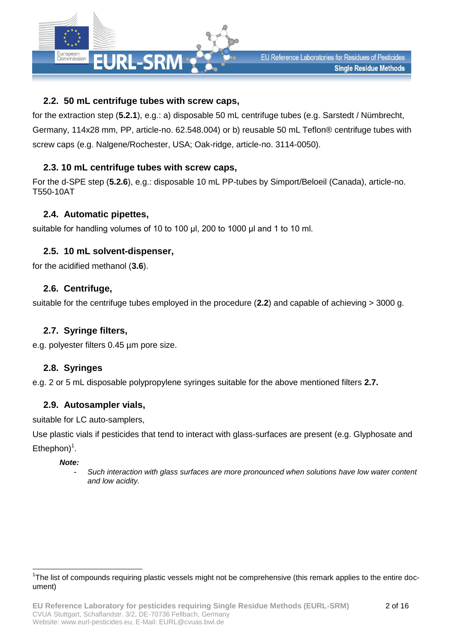

### <span id="page-1-0"></span>**2.2. 50 mL centrifuge tubes with screw caps,**

for the extraction step (**[5.2.1](#page-4-0)**), e.g.: a) disposable 50 mL centrifuge tubes (e.g. Sarstedt / Nümbrecht, Germany, 114x28 mm, PP, article-no. 62.548.004) or b) reusable 50 mL Teflon® centrifuge tubes with screw caps (e.g. Nalgene/Rochester, USA; Oak-ridge, article-no. 3114-0050).

### <span id="page-1-2"></span>**2.3. 10 mL centrifuge tubes with screw caps,**

For the d-SPE step (**[5.2.6](#page-4-1)**), e.g.: disposable 10 mL PP-tubes by Simport/Beloeil (Canada), article-no. T550-10AT

#### **2.4. Automatic pipettes,**

suitable for handling volumes of 10 to 100 μl, 200 to 1000 μl and 1 to 10 ml.

#### **2.5. 10 mL solvent-dispenser,**

for the acidified methanol (**[3.6](#page-2-0)**).

#### **2.6. Centrifuge,**

suitable for the centrifuge tubes employed in the procedure (**[2.2](#page-1-0)**) and capable of achieving > 3000 g.

#### <span id="page-1-1"></span>**2.7. Syringe filters,**

e.g. polyester filters 0.45 µm pore size.

#### **2.8. Syringes**

e.g. 2 or 5 mL disposable polypropylene syringes suitable for the above mentioned filters **[2.7.](#page-1-1)**

#### <span id="page-1-3"></span>**2.9. Autosampler vials,**

suitable for LC auto-samplers,

Use plastic vials if pesticides that tend to interact with glass-surfaces are present (e.g. Glyphosate and Ethephon $)^{1}$ .

#### *Note:*

l

- *Such interaction with glass surfaces are more pronounced when solutions have low water content and low acidity.*

<sup>&</sup>lt;sup>1</sup>The list of compounds requiring plastic vessels might not be comprehensive (this remark applies to the entire document)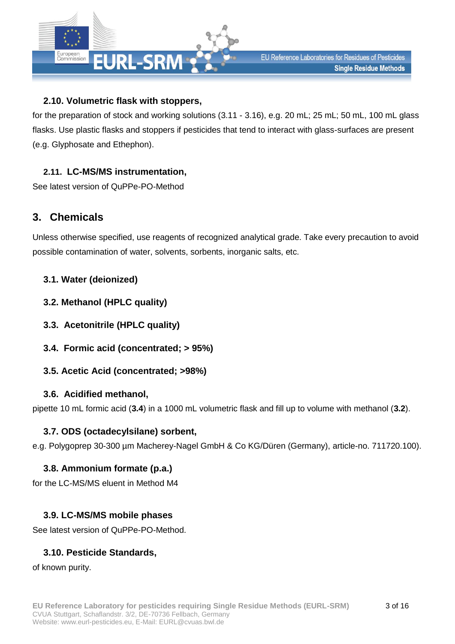

### **2.10. Volumetric flask with stoppers,**

for the preparation of stock and working solutions [\(3.11](#page-3-0) - [3.16\)](#page-3-1), e.g. 20 mL; 25 mL; 50 mL, 100 mL glass flasks. Use plastic flasks and stoppers if pesticides that tend to interact with glass-surfaces are present (e.g. Glyphosate and Ethephon).

### **2.11. LC-MS/MS instrumentation,**

See latest version of QuPPe-PO-Method

## **3. Chemicals**

Unless otherwise specified, use reagents of recognized analytical grade. Take every precaution to avoid possible contamination of water, solvents, sorbents, inorganic salts, etc.

### <span id="page-2-3"></span>**3.1. Water (deionized)**

- <span id="page-2-2"></span>**3.2. Methanol (HPLC quality)**
- <span id="page-2-4"></span>**3.3. Acetonitrile (HPLC quality)**
- <span id="page-2-1"></span>**3.4. Formic acid (concentrated; > 95%)**
- **3.5. Acetic Acid (concentrated; >98%)**

### <span id="page-2-0"></span>**3.6. Acidified methanol,**

<span id="page-2-5"></span>pipette 10 mL formic acid (**[3.4](#page-2-1)**) in a 1000 mL volumetric flask and fill up to volume with methanol (**[3.2](#page-2-2)**).

### **3.7. ODS (octadecylsilane) sorbent,**

e.g. Polygoprep 30-300 µm Macherey-Nagel GmbH & Co KG/Düren (Germany), article-no. 711720.100).

### **3.8. Ammonium formate (p.a.)**

for the LC-MS/MS eluent in Method M4

### **3.9. LC-MS/MS mobile phases**

See latest version of QuPPe-PO-Method.

## **3.10. Pesticide Standards,**

of known purity.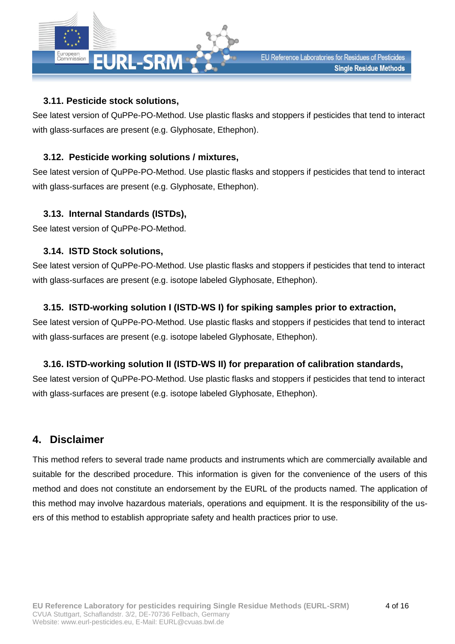

### <span id="page-3-0"></span>**3.11. Pesticide stock solutions,**

See latest version of QuPPe-PO-Method. Use plastic flasks and stoppers if pesticides that tend to interact with glass-surfaces are present (e.g. Glyphosate, Ethephon).

### <span id="page-3-3"></span>**3.12. Pesticide working solutions / mixtures,**

See latest version of QuPPe-PO-Method. Use plastic flasks and stoppers if pesticides that tend to interact with glass-surfaces are present (e.g. Glyphosate, Ethephon).

### **3.13. Internal Standards (ISTDs),**

See latest version of QuPPe-PO-Method.

### **3.14. ISTD Stock solutions,**

See latest version of QuPPe-PO-Method. Use plastic flasks and stoppers if pesticides that tend to interact with glass-surfaces are present (e.g. isotope labeled Glyphosate, Ethephon).

### <span id="page-3-2"></span>**3.15. ISTD-working solution I (ISTD-WS I) for spiking samples prior to extraction,**

See latest version of QuPPe-PO-Method. Use plastic flasks and stoppers if pesticides that tend to interact with glass-surfaces are present (e.g. isotope labeled Glyphosate, Ethephon).

## <span id="page-3-1"></span>**3.16. ISTD-working solution II (ISTD-WS II) for preparation of calibration standards,**

See latest version of QuPPe-PO-Method. Use plastic flasks and stoppers if pesticides that tend to interact with glass-surfaces are present (e.g. isotope labeled Glyphosate, Ethephon).

## **4. Disclaimer**

This method refers to several trade name products and instruments which are commercially available and suitable for the described procedure. This information is given for the convenience of the users of this method and does not constitute an endorsement by the EURL of the products named. The application of this method may involve hazardous materials, operations and equipment. It is the responsibility of the users of this method to establish appropriate safety and health practices prior to use.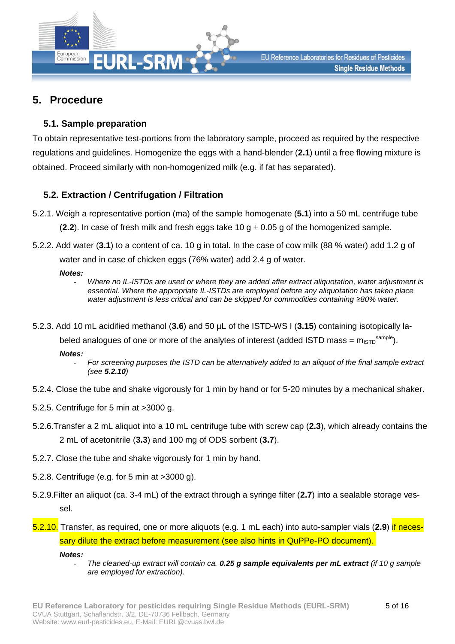

## **5. Procedure**

#### <span id="page-4-2"></span>**5.1. Sample preparation**

To obtain representative test-portions from the laboratory sample, proceed as required by the respective regulations and guidelines. Homogenize the eggs with a hand-blender (**[2.1](#page-0-0)**) until a free flowing mixture is obtained. Proceed similarly with non-homogenized milk (e.g. if fat has separated).

### <span id="page-4-5"></span><span id="page-4-0"></span>**5.2. Extraction / Centrifugation / Filtration**

- 5.2.1. Weigh a representative portion (ma) of the sample homogenate (**[5.1](#page-4-2)**) into a 50 mL centrifuge tube (**[2.2](#page-1-0)**). In case of fresh milk and fresh eggs take 10 g  $\pm$  0.05 g of the homogenized sample.
- <span id="page-4-6"></span>5.2.2. Add water (**[3.1](#page-2-3)**) to a content of ca. 10 g in total. In the case of cow milk (88 % water) add 1.2 g of water and in case of chicken eggs (76% water) add 2.4 g of water.

*Notes:*

- *Where no IL-ISTDs are used or where they are added after extract aliquotation, water adjustment is essential. Where the appropriate IL-ISTDs are employed before any aliquotation has taken place water adjustment is less critical and can be skipped for commodities containing ≥80% water.*
- 5.2.3. Add 10 mL acidified methanol (**[3.6](#page-2-0)**) and 50 µL of the ISTD-WS I (**[3.15](#page-3-2)**) containing isotopically la-

<span id="page-4-4"></span>beled analogues of one or more of the analytes of interest (added ISTD mass =  $m_{\text{ISTD}}^{\text{sample}}$ ).

*Notes:*

- *For screening purposes the ISTD can be alternatively added to an aliquot of the final sample extract (see [5.2.10](#page-4-3))*
- 5.2.4. Close the tube and shake vigorously for 1 min by hand or for 5-20 minutes by a mechanical shaker.
- 5.2.5. Centrifuge for 5 min at >3000 g.
- <span id="page-4-1"></span>5.2.6.Transfer a 2 mL aliquot into a 10 mL centrifuge tube with screw cap (**[2.3](#page-1-2)**), which already contains the 2 mL of acetonitrile (**[3.3](#page-2-4)**) and 100 mg of ODS sorbent (**[3.7](#page-2-5)**).
- 5.2.7. Close the tube and shake vigorously for 1 min by hand.
- 5.2.8. Centrifuge (e.g. for 5 min at >3000 g).
- 5.2.9.Filter an aliquot (ca. 3-4 mL) of the extract through a syringe filter (**[2.7](#page-1-1)**) into a sealable storage vessel.
- <span id="page-4-3"></span>5.2.10. Transfer, as required, one or more aliquots (e.g. 1 mL each) into auto-sampler vials (**[2.9](#page-1-3)**) if necessary dilute the extract before measurement (see also hints in QuPPe-PO document).

*Notes:*

- *The cleaned-up extract will contain ca. 0.25 g sample equivalents per mL extract (if 10 g sample are employed for extraction).*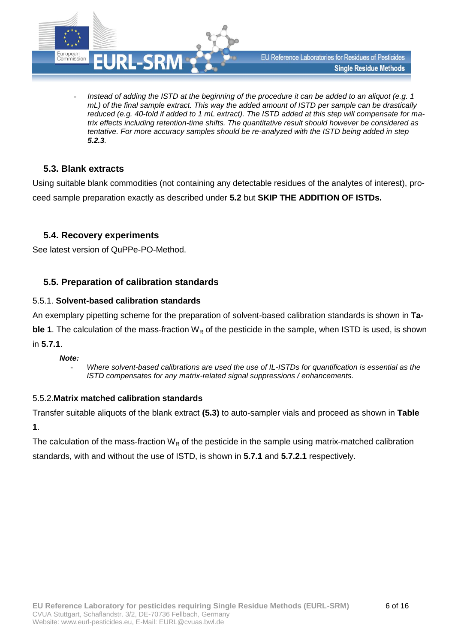

- *Instead of adding the ISTD at the beginning of the procedure it can be added to an aliquot (e.g. 1 mL) of the final sample extract. This way the added amount of ISTD per sample can be drastically reduced (e.g. 40-fold if added to 1 mL extract). The ISTD added at this step will compensate for matrix effects including retention-time shifts. The quantitative result should however be considered as tentative. For more accuracy samples should be re-analyzed with the ISTD being added in step [5.2.3](#page-4-4).* 

### <span id="page-5-0"></span>**5.3. Blank extracts**

Using suitable blank commodities (not containing any detectable residues of the analytes of interest), proceed sample preparation exactly as described under **[5.2](#page-4-5)** but **SKIP THE ADDITION OF ISTDs.**

#### **5.4. Recovery experiments**

See latest version of QuPPe-PO-Method.

#### <span id="page-5-3"></span>**5.5. Preparation of calibration standards**

#### <span id="page-5-1"></span>5.5.1. **Solvent-based calibration standards**

An exemplary pipetting scheme for the preparation of solvent-based calibration standards is shown in **[Ta-](#page-6-0)**

**[ble 1](#page-6-0)**. The calculation of the mass-fraction  $W_R$  of the pesticide in the sample, when ISTD is used, is shown in **[5.7.1](#page-11-0)**.

#### *Note:*

- *Where solvent-based calibrations are used the use of IL-ISTDs for quantification is essential as the ISTD compensates for any matrix-related signal suppressions / enhancements.*

#### <span id="page-5-2"></span>5.5.2.**Matrix matched calibration standards**

Transfer suitable aliquots of the blank extract **[\(5.3\)](#page-5-0)** to auto-sampler vials and proceed as shown in **[Table](#page-6-0)  [1](#page-6-0)**.

The calculation of the mass-fraction  $W_R$  of the pesticide in the sample using matrix-matched calibration standards, with and without the use of ISTD, is shown in **[5.7.1](#page-11-0)** and **[5.7.2.1](#page-11-1)** respectively.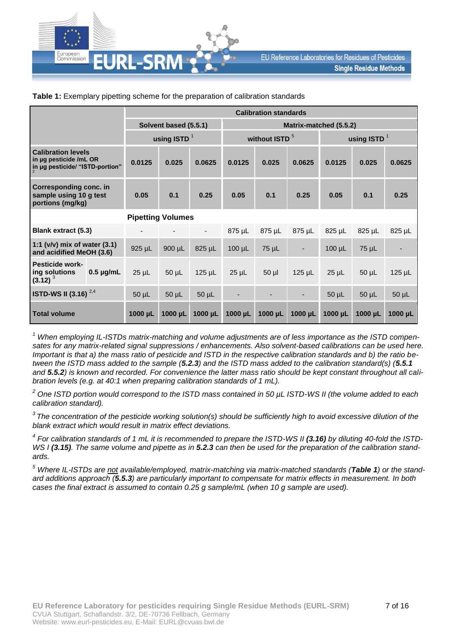

|                                                                                        |                | <b>Calibration standards</b> |                       |              |                                             |            |             |             |            |              |  |
|----------------------------------------------------------------------------------------|----------------|------------------------------|-----------------------|--------------|---------------------------------------------|------------|-------------|-------------|------------|--------------|--|
|                                                                                        |                |                              | Solvent based (5.5.1) |              | Matrix-matched (5.5.2)                      |            |             |             |            |              |  |
|                                                                                        |                |                              | using ISTD $1$        |              | without ISTD <sup>5</sup><br>using ISTD $1$ |            |             |             |            |              |  |
| <b>Calibration levels</b><br>in ug pesticide /mL OR<br>in µg pesticide/ "ISTD-portion" |                | 0.0125                       | 0.025                 | 0.0625       | 0.0125                                      | 0.025      | 0.0625      | 0.0125      | 0.025      | 0.0625       |  |
| <b>Corresponding conc. in</b><br>sample using 10 g test<br>portions (mg/kg)            |                | 0.05                         | 0.1                   | 0.25         | 0.05                                        | 0.1        | 0.25        | 0.05        | 0.1        | 0.25         |  |
|                                                                                        |                | <b>Pipetting Volumes</b>     |                       |              |                                             |            |             |             |            |              |  |
| <b>Blank extract (5.3)</b>                                                             |                |                              |                       | ٠            | 875 µL                                      | 875 µL     | 875 µL      | 825 µL      | 825 µL     | 825 µL       |  |
| 1:1 ( $v/v$ ) mix of water (3.1)<br>and acidified MeOH (3.6)                           |                | $925 \mu L$                  | $900 \mu L$           | 825 µL       | $100 \mu L$                                 | $75 \mu L$ |             | $100 \mu L$ | $75 \mu L$ |              |  |
| <b>Pesticide work-</b><br>ing solutions<br>$(3.12)^3$                                  | $0.5 \mu g/mL$ | $25 \mu L$                   | $50 \mu L$            | $125 \mu L$  | $25 \mu L$                                  | $50$ $\mu$ | $125 \mu L$ | $25 \mu L$  | $50 \mu L$ | $125$ µL     |  |
| <b>ISTD-WS II (3.16)</b> $^{2,4}$                                                      |                | $50 \mu L$                   | $50 \mu L$            | $50 \mu L$   | ٠                                           |            |             | $50 \mu L$  | $50 \mu L$ | $50$ $\mu$ L |  |
| <b>Total volume</b>                                                                    |                | $1000 \mu L$                 | $1000 \mu L$          | $1000 \mu L$ | 1000 µL                                     | 1000 µL    | 1000 µL     | 1000 µL     | 1000 µL    | $1000 \mu L$ |  |

#### <span id="page-6-0"></span>**Table 1:** Exemplary pipetting scheme for the preparation of calibration standards

*<sup>1</sup> When employing IL-ISTDs matrix-matching and volume adjustments are of less importance as the ISTD compensates for any matrix-related signal suppressions / enhancements. Also solvent-based calibrations can be used here. Important is that a) the mass ratio of pesticide and ISTD in the respective calibration standards and b) the ratio between the ISTD mass added to the sample ([5.2.3](#page-4-4)) and the ISTD mass added to the calibration standard(s) ([5.5.1](#page-5-3) and [5.5.2](#page-5-2)) is known and recorded. For convenience the latter mass ratio should be kept constant throughout all calibration levels (e.g. at 40:1 when preparing calibration standards of 1 mL).* 

*<sup>2</sup> One ISTD portion would correspond to the ISTD mass contained in 50 µL ISTD-WS II (the volume added to each calibration standard).*

*<sup>3</sup>The concentration of the pesticide working solution(s) should be sufficiently high to avoid excessive dilution of the blank extract which would result in matrix effect deviations.* 

<sup>4</sup> For calibration standards of 1 mL it is recommended to prepare the ISTD-WS II [\(3.16\)](#page-3-1) by diluting 40-fold the ISTD-*WS I [\(3.15\)](#page-3-2). The same volume and pipette as in [5.2.3](#page-4-4) can then be used for the preparation of the calibration standards.*

*<sup>5</sup> Where IL-ISTDs are not available/employed, matrix-matching via matrix-matched standards ([Table 1](#page-6-0)) or the standard additions approach ([5.5.3](#page-7-0)) are particularly important to compensate for matrix effects in measurement. In both cases the final extract is assumed to contain 0.25 g sample/mL (when 10 g sample are used).*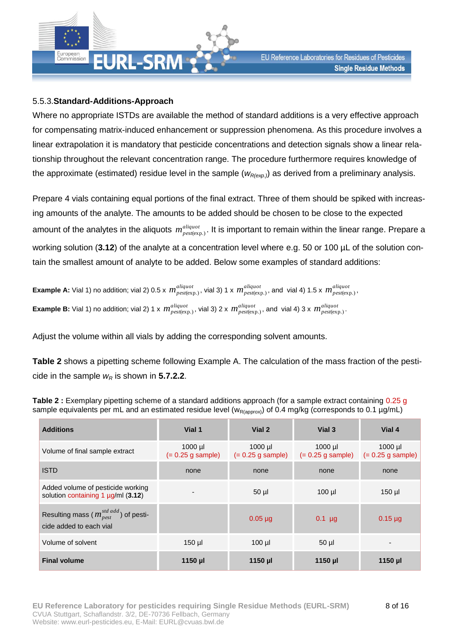

#### <span id="page-7-0"></span>5.5.3.**Standard-Additions-Approach**

Where no appropriate ISTDs are available the method of standard additions is a very effective approach for compensating matrix-induced enhancement or suppression phenomena. As this procedure involves a linear extrapolation it is mandatory that pesticide concentrations and detection signals show a linear relationship throughout the relevant concentration range. The procedure furthermore requires knowledge of the approximate (estimated) residue level in the sample (*wR(exp.)*) as derived from a preliminary analysis.

Prepare 4 vials containing equal portions of the final extract. Three of them should be spiked with increasing amounts of the analyte. The amounts to be added should be chosen to be close to the expected amount of the analytes in the aliquots  $\,m_{\rho est(exp.)}^{align}$ . It is important to remain within the linear range. Prepare a working solution (**[3.12](#page-3-3)**) of the analyte at a concentration level where e.g. 50 or 100 µL of the solution contain the smallest amount of analyte to be added. Below some examples of standard additions:

Example A: Vial 1) no addition; vial 2) 0.5 x  $m^{aligned}_{pest(exp.)}$ , vial 3) 1 x  $m^{aligned}_{pest(exp.)}$ , and vial 4) 1.5 x  $m^{aligned}_{pest(exp.)}$ ,  $\bf{Example~B:}$  Vial 1) no addition; vial 2) 1 x  $\,m^{aligned}_{pest(exp.)},\,$  vial 3) 2 x  $\,m^{aligned}_{pest(exp.)},\,$  and  $\,$  vial 4) 3 x  $\,m^{aligned}_{pest(exp.)}.$ 

Adjust the volume within all vials by adding the corresponding solvent amounts.

**[Table 2](#page-7-1)** shows a pipetting scheme following Example A. The calculation of the mass fraction of the pesticide in the sample  $w_R$  is shown in **[5.7.2.2](#page-12-0)**.

| <b>Additions</b>                                                                     | Vial 1                           | Vial 2                           | Vial 3                           | Vial 4                           |
|--------------------------------------------------------------------------------------|----------------------------------|----------------------------------|----------------------------------|----------------------------------|
| Volume of final sample extract                                                       | $1000$ µl<br>$(= 0.25$ g sample) | $1000$ µl<br>$(= 0.25$ g sample) | $1000$ µl<br>$(= 0.25$ g sample) | $1000$ µl<br>$(= 0.25$ g sample) |
| <b>ISTD</b>                                                                          | none                             | none                             | none                             | none                             |
| Added volume of pesticide working<br>solution containing 1 $\mu$ g/ml (3.12)         |                                  | $50$ µl                          | $100$ $\mu$                      | $150$ µl                         |
| Resulting mass ( $m_{pest}^{std \text{ add}}$ ) of pesti-<br>cide added to each vial |                                  | $0.05 \mu$ g                     | $0.1$ µg                         | $0.15 \mu$ g                     |
| Volume of solvent                                                                    | $150$ µl                         | $100$ $\mu$                      | $50$ $\mu$                       |                                  |
| <b>Final volume</b>                                                                  | $1150$ µl                        | $1150$ µl                        | 1150 µl                          | 1150 µl                          |

<span id="page-7-1"></span>**Table 2 :** Exemplary pipetting scheme of a standard additions approach (for a sample extract containing 0.25 g sample equivalents per mL and an estimated residue level ( $w_{R(apoyox)}$ ) of 0.4 mg/kg (corresponds to 0.1 µg/mL)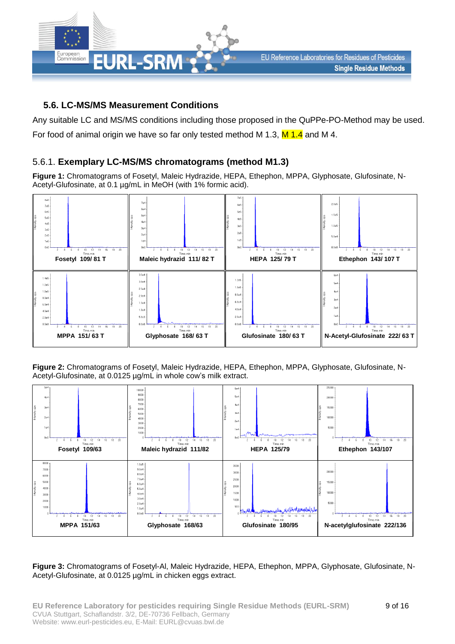

#### **5.6. LC-MS/MS Measurement Conditions**

Any suitable LC and MS/MS conditions including those proposed in the QuPPe-PO-Method may be used. For food of animal origin we have so far only tested method M 1.3,  $M$  1.4 and M 4.

#### 5.6.1. **Exemplary LC-MS/MS chromatograms (method M1.3)**

**Figure 1:** Chromatograms of Fosetyl, Maleic Hydrazide, HEPA, Ethephon, MPPA, Glyphosate, Glufosinate, N-Acetyl-Glufosinate, at 0.1 µg/mL in MeOH (with 1% formic acid).



**Figure 2:** Chromatograms of Fosetyl, Maleic Hydrazide, HEPA, Ethephon, MPPA, Glyphosate, Glufosinate, N-Acetyl-Glufosinate, at 0.0125 µg/mL in whole cow's milk extract.



**Figure 3:** Chromatograms of Fosetyl-Al, Maleic Hydrazide, HEPA, Ethephon, MPPA, Glyphosate, Glufosinate, N-Acetyl-Glufosinate, at 0.0125 µg/mL in chicken eggs extract.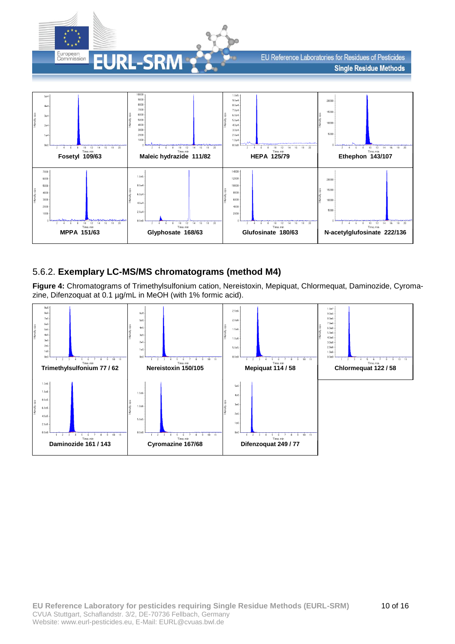

EU Reference Laboratories for Residues of Pesticides **Single Residue Methods** 



#### 5.6.2. **Exemplary LC-MS/MS chromatograms (method M4)**

**Figure 4:** Chromatograms of Trimethylsulfonium cation, Nereistoxin, Mepiquat, Chlormequat, Daminozide, Cyromazine, Difenzoquat at 0.1 µg/mL in MeOH (with 1% formic acid).

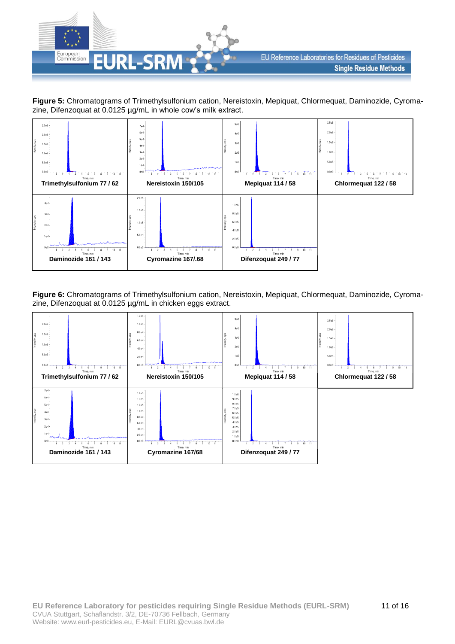

**Figure 5:** Chromatograms of Trimethylsulfonium cation, Nereistoxin, Mepiquat, Chlormequat, Daminozide, Cyromazine, Difenzoquat at 0.0125 µg/mL in whole cow's milk extract.



**Figure 6:** Chromatograms of Trimethylsulfonium cation, Nereistoxin, Mepiquat, Chlormequat, Daminozide, Cyromazine, Difenzoquat at 0.0125 µg/mL in chicken eggs extract.

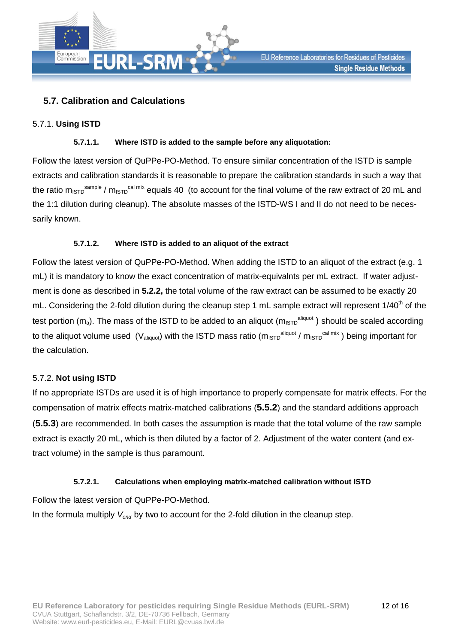

### <span id="page-11-0"></span>**5.7. Calibration and Calculations**

#### 5.7.1. **Using ISTD**

#### **5.7.1.1. Where ISTD is added to the sample before any aliquotation:**

Follow the latest version of QuPPe-PO-Method. To ensure similar concentration of the ISTD is sample extracts and calibration standards it is reasonable to prepare the calibration standards in such a way that the ratio m<sub>ISTD</sub> sample / m<sub>ISTD</sub> cal mix equals 40  $\,$  (to account for the final volume of the raw extract of 20 mL and the 1:1 dilution during cleanup). The absolute masses of the ISTD-WS I and II do not need to be necessarily known.

#### **5.7.1.2. Where ISTD is added to an aliquot of the extract**

Follow the latest version of QuPPe-PO-Method. When adding the ISTD to an aliquot of the extract (e.g. 1 mL) it is mandatory to know the exact concentration of matrix-equivalnts per mL extract. If water adjustment is done as described in **[5.2.2,](#page-4-6)** the total volume of the raw extract can be assumed to be exactly 20 mL. Considering the 2-fold dilution during the cleanup step 1 mL sample extract will represent 1/40<sup>th</sup> of the test portion (m<sub>a</sub>). The mass of the ISTD to be added to an aliquot (m<sub>ISTD</sub><sup>aliquot</sup>) should be scaled according to the aliquot volume used (V<sub>aliquot</sub>) with the ISTD mass ratio (m<sub>ISTD</sub><sup>aliquot</sup> / m<sub>ISTD</sub><sup>cal mix</sup>) being important for the calculation.

#### 5.7.2. **Not using ISTD**

If no appropriate ISTDs are used it is of high importance to properly compensate for matrix effects. For the compensation of matrix effects matrix-matched calibrations (**[5.5.2](#page-5-2)**) and the standard additions approach (**[5.5.3](#page-7-0)**) are recommended. In both cases the assumption is made that the total volume of the raw sample extract is exactly 20 mL, which is then diluted by a factor of 2. Adjustment of the water content (and extract volume) in the sample is thus paramount.

#### **5.7.2.1. Calculations when employing matrix-matched calibration without ISTD**

<span id="page-11-1"></span>Follow the latest version of QuPPe-PO-Method.

In the formula multiply *Vend* by two to account for the 2-fold dilution in the cleanup step.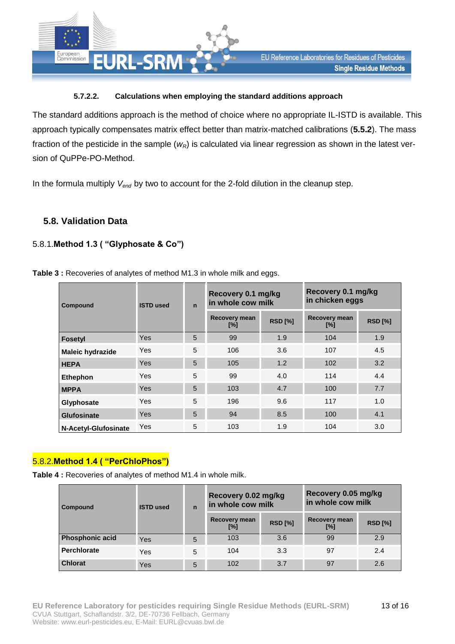

#### **5.7.2.2. Calculations when employing the standard additions approach**

<span id="page-12-0"></span>The standard additions approach is the method of choice where no appropriate IL-ISTD is available. This approach typically compensates matrix effect better than matrix-matched calibrations (**[5.5.2](#page-5-2)**). The mass fraction of the pesticide in the sample (*wR*) is calculated via linear regression as shown in the latest version of QuPPe-PO-Method.

In the formula multiply *Vend* by two to account for the 2-fold dilution in the cleanup step.

#### **5.8. Validation Data**

#### 5.8.1.**Method 1.3 ( "Glyphosate & Co")**

| Compound | <b>ISTD used</b> | $\mathbf n$ | Recovery 0.1 mg/kg<br>in whole cow milk |                | Recovery 0.1 mg/kg<br>in chicken eggs |            |  |
|----------|------------------|-------------|-----------------------------------------|----------------|---------------------------------------|------------|--|
|          |                  |             | <b>Recovery mean</b><br>[%]             | <b>RSD [%]</b> | <b>Recovery mean</b><br>[%]           | <b>RSD</b> |  |

**Table 3: Recoveries of analytes of method M1.3 in whole milk and eggs.** 

| <b>Fosetyl</b>          | Yes | 5 | 99  | 1.9 | 104 | 1.9 |
|-------------------------|-----|---|-----|-----|-----|-----|
| <b>Maleic hydrazide</b> | Yes | 5 | 106 | 3.6 | 107 | 4.5 |
| <b>HEPA</b>             | Yes | 5 | 105 | 1.2 | 102 | 3.2 |
| <b>Ethephon</b>         | Yes | 5 | 99  | 4.0 | 114 | 4.4 |
| <b>MPPA</b>             | Yes | 5 | 103 | 4.7 | 100 | 7.7 |
| Glyphosate              | Yes | 5 | 196 | 9.6 | 117 | 1.0 |
| <b>Glufosinate</b>      | Yes | 5 | 94  | 8.5 | 100 | 4.1 |
| N-Acetyl-Glufosinate    | Yes | 5 | 103 | 1.9 | 104 | 3.0 |

#### 5.8.2.**Method 1.4 ( "PerChloPhos")**

**Table 4 :** Recoveries of analytes of method M1.4 in whole milk.

| Compound               | <b>ISTD used</b> | $\overline{ }$ | Recovery 0.02 mg/kg<br>in whole cow milk |                | Recovery 0.05 mg/kg<br>in whole cow milk |                |  |
|------------------------|------------------|----------------|------------------------------------------|----------------|------------------------------------------|----------------|--|
|                        |                  |                | <b>Recovery mean</b><br>[%]              | <b>RSD [%]</b> | <b>Recovery mean</b><br>[%]              | <b>RSD [%]</b> |  |
| <b>Phosphonic acid</b> | Yes              | 5              | 103                                      | 3.6            | 99                                       | 2.9            |  |
| <b>Perchlorate</b>     | Yes              | 5              | 104                                      | 3.3            | 97                                       | 2.4            |  |
| <b>Chlorat</b>         | Yes              | 5              | 102                                      | 3.7            | 97                                       | 2.6            |  |

**[%] RSD [%]**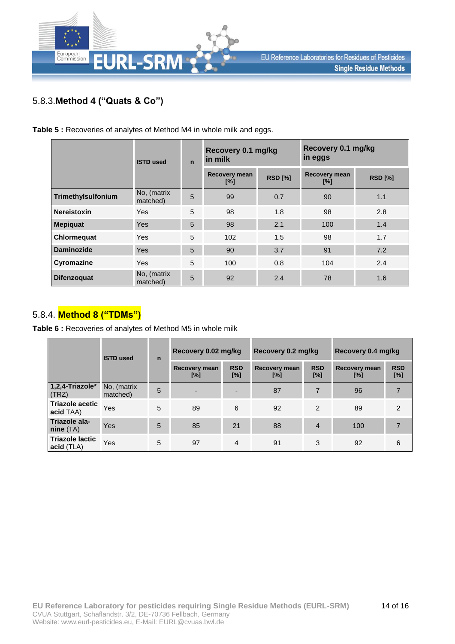

## 5.8.3.**Method 4 ("Quats & Co")**

**Table 5 :** Recoveries of analytes of Method M4 in whole milk and eggs.

|                    | <b>ISTD used</b>        | $\mathbf n$ | Recovery 0.1 mg/kg<br>in milk |                | Recovery 0.1 mg/kg<br>in eggs |                |  |
|--------------------|-------------------------|-------------|-------------------------------|----------------|-------------------------------|----------------|--|
|                    |                         |             | Recovery mean<br>$[\%]$       | <b>RSD [%]</b> | Recovery mean<br>$[\%]$       | <b>RSD [%]</b> |  |
| Trimethylsulfonium | No, (matrix<br>matched) | 5           | 99                            | 0.7            | 90                            | 1.1            |  |
| <b>Nereistoxin</b> | <b>Yes</b>              | 5           | 98                            | 1.8            | 98                            | 2.8            |  |
| <b>Mepiquat</b>    | <b>Yes</b>              | 5           | 98                            | 2.1            | 100                           | 1.4            |  |
| Chlormequat        | <b>Yes</b>              | 5           | 102                           | 1.5            | 98                            | 1.7            |  |
| <b>Daminozide</b>  | <b>Yes</b>              | 5           | 90                            | 3.7            | 91                            | 7.2            |  |
| Cyromazine         | <b>Yes</b>              | 5           | 100                           | 0.8            | 104                           | 2.4            |  |
| <b>Difenzoquat</b> | No, (matrix<br>matched) | 5           | 92                            | 2.4            | 78                            | 1.6            |  |

### 5.8.4. **Method 8 ("TDMs")**

**Table 6 :** Recoveries of analytes of Method M5 in whole milk

|                                      | <b>ISTD used</b>        | $\mathbf n$ | Recovery 0.02 mg/kg         |                   | Recovery 0.2 mg/kg   |                   | Recovery 0.4 mg/kg   |                   |  |
|--------------------------------------|-------------------------|-------------|-----------------------------|-------------------|----------------------|-------------------|----------------------|-------------------|--|
|                                      |                         |             | <b>Recovery mean</b><br>[%] | <b>RSD</b><br>[%] | Recovery mean<br>[%] | <b>RSD</b><br>[%] | Recovery mean<br>[%] | <b>RSD</b><br>[%] |  |
| 1,2,4-Triazole*<br>(TRZ)             | No, (matrix<br>matched) | 5           | ٠                           |                   | 87                   | $\overline{7}$    | 96                   |                   |  |
| <b>Triazole acetic</b><br>acid TAA)  | Yes                     | 5           | 89                          | 6                 | 92                   | $\mathfrak{p}$    | 89                   | $\mathcal{P}$     |  |
| Triazole ala-<br>nine(TA)            | Yes                     | 5           | 85                          | 21                | 88                   | $\overline{4}$    | 100                  |                   |  |
| <b>Triazole lactic</b><br>acid (TLA) | Yes                     | 5           | 97                          | 4                 | 91                   | 3                 | 92                   | 6                 |  |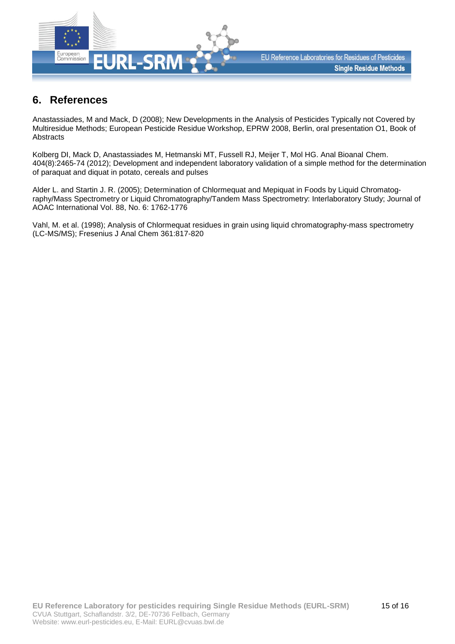

## **6. References**

Anastassiades, M and Mack, D (2008); New Developments in the Analysis of Pesticides Typically not Covered by Multiresidue Methods; European Pesticide Residue Workshop, EPRW 2008, Berlin, oral presentation O1, Book of **Abstracts** 

Kolberg DI, Mack D, Anastassiades M, Hetmanski MT, Fussell RJ, Meijer T, Mol HG. Anal Bioanal Chem. 404(8):2465-74 (2012); Development and independent laboratory validation of a simple method for the determination of paraquat and diquat in potato, cereals and pulses

Alder L. and Startin J. R. (2005); Determination of Chlormequat and Mepiquat in Foods by Liquid Chromatography/Mass Spectrometry or Liquid Chromatography/Tandem Mass Spectrometry: Interlaboratory Study; Journal of AOAC International Vol. 88, No. 6: 1762-1776

Vahl, M. et al. (1998); Analysis of Chlormequat residues in grain using liquid chromatography-mass spectrometry (LC-MS/MS); Fresenius J Anal Chem 361:817-820